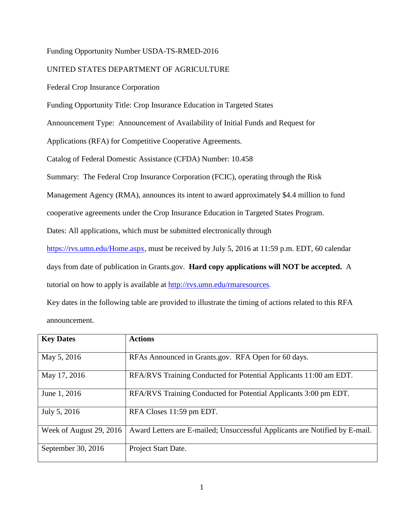# Funding Opportunity Number USDA-TS-RMED-2016

# UNITED STATES DEPARTMENT OF AGRICULTURE

Federal Crop Insurance Corporation

Funding Opportunity Title: Crop Insurance Education in Targeted States

Announcement Type: Announcement of Availability of Initial Funds and Request for

Applications (RFA) for Competitive Cooperative Agreements.

Catalog of Federal Domestic Assistance (CFDA) Number: 10.458

Summary: The Federal Crop Insurance Corporation (FCIC), operating through the Risk

Management Agency (RMA), announces its intent to award approximately \$4.4 million to fund

cooperative agreements under the Crop Insurance Education in Targeted States Program.

Dates: All applications, which must be submitted electronically through

<https://rvs.umn.edu/Home.aspx>, must be received by July 5, 2016 at 11:59 p.m. EDT, 60 calendar

days from date of publication in Grants.gov.**Hard copy applications will NOT be accepted.** A tutorial on how to apply is available at<http://rvs.umn.edu/rmaresources>.

Key dates in the following table are provided to illustrate the timing of actions related to this RFA announcement.

| <b>Key Dates</b>        | <b>Actions</b>                                                              |
|-------------------------|-----------------------------------------------------------------------------|
| May 5, 2016             | RFAs Announced in Grants.gov. RFA Open for 60 days.                         |
| May 17, 2016            | RFA/RVS Training Conducted for Potential Applicants 11:00 am EDT.           |
| June 1, 2016            | RFA/RVS Training Conducted for Potential Applicants 3:00 pm EDT.            |
| July 5, 2016            | RFA Closes 11:59 pm EDT.                                                    |
| Week of August 29, 2016 | Award Letters are E-mailed; Unsuccessful Applicants are Notified by E-mail. |
| September 30, 2016      | Project Start Date.                                                         |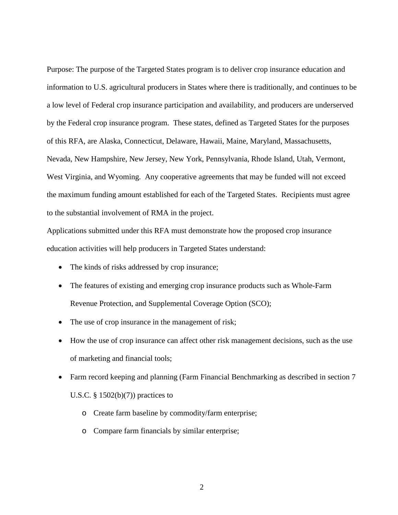Purpose: The purpose of the Targeted States program is to deliver crop insurance education and information to U.S. agricultural producers in States where there is traditionally, and continues to be a low level of Federal crop insurance participation and availability, and producers are underserved by the Federal crop insurance program. These states, defined as Targeted States for the purposes of this RFA, are Alaska, Connecticut, Delaware, Hawaii, Maine, Maryland, Massachusetts, Nevada, New Hampshire, New Jersey, New York, Pennsylvania, Rhode Island, Utah, Vermont, West Virginia, and Wyoming. Any cooperative agreements that may be funded will not exceed the maximum funding amount established for each of the Targeted States. Recipients must agree to the substantial involvement of RMA in the project.

Applications submitted under this RFA must demonstrate how the proposed crop insurance education activities will help producers in Targeted States understand:

- The kinds of risks addressed by crop insurance;
- The features of existing and emerging crop insurance products such as Whole-Farm Revenue Protection, and Supplemental Coverage Option (SCO);
- The use of crop insurance in the management of risk;
- How the use of crop insurance can affect other risk management decisions, such as the use of marketing and financial tools;
- Farm record keeping and planning (Farm Financial Benchmarking as described in section 7 U.S.C.  $\S$  1502(b)(7)) practices to
	- o Create farm baseline by commodity/farm enterprise;
	- o Compare farm financials by similar enterprise;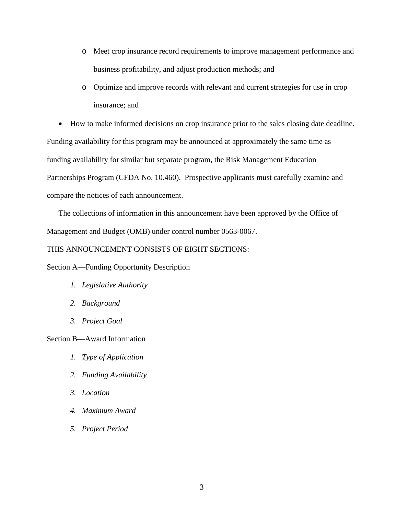- o Meet crop insurance record requirements to improve management performance and business profitability, and adjust production methods; and
- o Optimize and improve records with relevant and current strategies for use in crop insurance; and

• How to make informed decisions on crop insurance prior to the sales closing date deadline. Funding availability for this program may be announced at approximately the same time as funding availability for similar but separate program, the Risk Management Education Partnerships Program (CFDA No. 10.460). Prospective applicants must carefully examine and compare the notices of each announcement.

The collections of information in this announcement have been approved by the Office of Management and Budget (OMB) under control number 0563-0067.

# THIS ANNOUNCEMENT CONSISTS OF EIGHT SECTIONS:

Section A—Funding Opportunity Description

- *1. Legislative Authority*
- *2. Background*
- *3. Project Goal*

Section B—Award Information

- *1. Type of Application*
- *2. Funding Availability*
- *3. Location*
- *4. Maximum Award*
- *5. Project Period*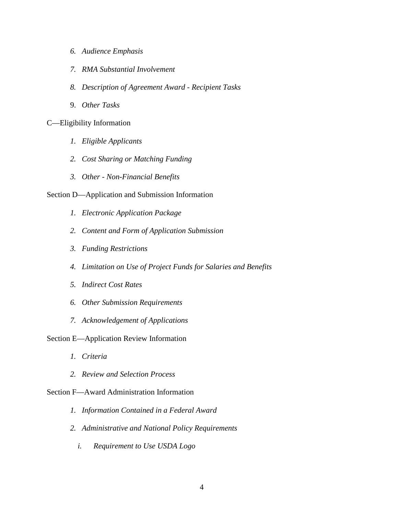- *6. Audience Emphasis*
- *7. RMA Substantial Involvement*
- *8. Description of Agreement Award - Recipient Tasks*
- 9. *Other Tasks*

# C—Eligibility Information

- *1. Eligible Applicants*
- *2. Cost Sharing or Matching Funding*
- *3. Other - Non-Financial Benefits*

# Section D—Application and Submission Information

- *1. Electronic Application Package*
- *2. Content and Form of Application Submission*
- *3. Funding Restrictions*
- *4. Limitation on Use of Project Funds for Salaries and Benefits*
- *5. Indirect Cost Rates*
- *6. Other Submission Requirements*
- *7. Acknowledgement of Applications*

## Section E—Application Review Information

- *1. Criteria*
- *2. Review and Selection Process*

## Section F—Award Administration Information

- *1. Information Contained in a Federal Award*
- *2. Administrative and National Policy Requirements*
	- *i. Requirement to Use USDA Logo*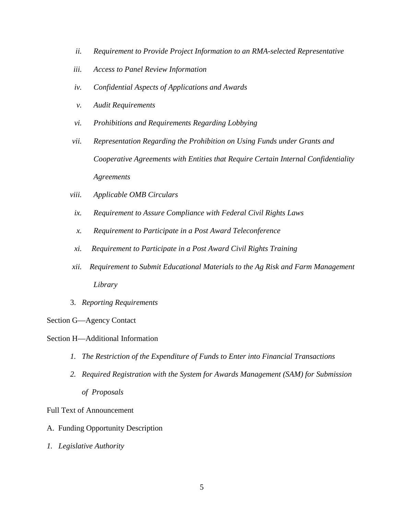- *ii. Requirement to Provide Project Information to an RMA-selected Representative*
- *iii. Access to Panel Review Information*
- *iv. Confidential Aspects of Applications and Awards*
- *v. Audit Requirements*
- *vi. Prohibitions and Requirements Regarding Lobbying*
- *vii. Representation Regarding the Prohibition on Using Funds under Grants and Cooperative Agreements with Entities that Require Certain Internal Confidentiality Agreements*
- *viii. Applicable OMB Circulars*
- *ix. Requirement to Assure Compliance with Federal Civil Rights Laws*
- *x. Requirement to Participate in a Post Award Teleconference*
- *xi. Requirement to Participate in a Post Award Civil Rights Training*
- *xii. Requirement to Submit Educational Materials to the Ag Risk and Farm Management Library*
- 3. *Reporting Requirements*

## Section G—Agency Contact

# Section H—Additional Information

- *1. The Restriction of the Expenditure of Funds to Enter into Financial Transactions*
- *2. Required Registration with the System for Awards Management (SAM) for Submission of Proposals*

# Full Text of Announcement

- A. Funding Opportunity Description
- *1. Legislative Authority*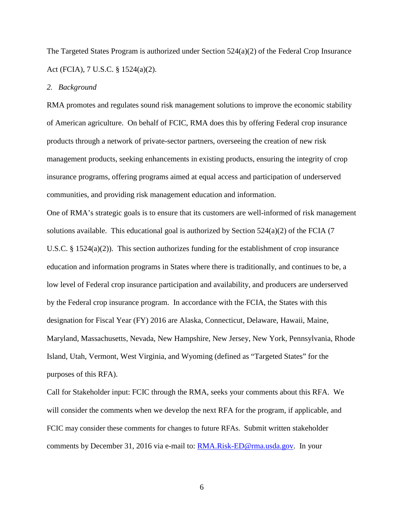The Targeted States Program is authorized under Section 524(a)(2) of the Federal Crop Insurance Act (FCIA), 7 U.S.C. § 1524(a)(2).

# *2. Background*

RMA promotes and regulates sound risk management solutions to improve the economic stability of American agriculture. On behalf of FCIC, RMA does this by offering Federal crop insurance products through a network of private-sector partners, overseeing the creation of new risk management products, seeking enhancements in existing products, ensuring the integrity of crop insurance programs, offering programs aimed at equal access and participation of underserved communities, and providing risk management education and information.

One of RMA's strategic goals is to ensure that its customers are well-informed of risk management solutions available. This educational goal is authorized by Section 524(a)(2) of the FCIA (7 U.S.C. § 1524(a)(2)). This section authorizes funding for the establishment of crop insurance education and information programs in States where there is traditionally, and continues to be, a low level of Federal crop insurance participation and availability, and producers are underserved by the Federal crop insurance program. In accordance with the FCIA, the States with this designation for Fiscal Year (FY) 2016 are Alaska, Connecticut, Delaware, Hawaii, Maine, Maryland, Massachusetts, Nevada, New Hampshire, New Jersey, New York, Pennsylvania, Rhode Island, Utah, Vermont, West Virginia, and Wyoming (defined as "Targeted States" for the purposes of this RFA).

Call for Stakeholder input: FCIC through the RMA, seeks your comments about this RFA. We will consider the comments when we develop the next RFA for the program, if applicable, and FCIC may consider these comments for changes to future RFAs. Submit written stakeholder comments by December 31, 2016 via e-mail to: [RMA.Risk-ED@rma.usda.gov.](mailto:RMA.Risk-ED@rma.usda.gov) In your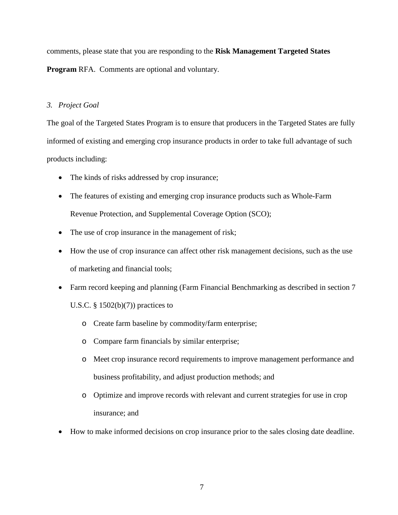comments, please state that you are responding to the **Risk Management Targeted States** 

**Program** RFA. Comments are optional and voluntary.

# *3. Project Goal*

The goal of the Targeted States Program is to ensure that producers in the Targeted States are fully informed of existing and emerging crop insurance products in order to take full advantage of such products including:

- The kinds of risks addressed by crop insurance;
- The features of existing and emerging crop insurance products such as Whole-Farm Revenue Protection, and Supplemental Coverage Option (SCO);
- The use of crop insurance in the management of risk;
- How the use of crop insurance can affect other risk management decisions, such as the use of marketing and financial tools;
- Farm record keeping and planning (Farm Financial Benchmarking as described in section 7 U.S.C.  $\S$  1502(b)(7)) practices to
	- o Create farm baseline by commodity/farm enterprise;
	- o Compare farm financials by similar enterprise;
	- o Meet crop insurance record requirements to improve management performance and business profitability, and adjust production methods; and
	- o Optimize and improve records with relevant and current strategies for use in crop insurance; and
- How to make informed decisions on crop insurance prior to the sales closing date deadline.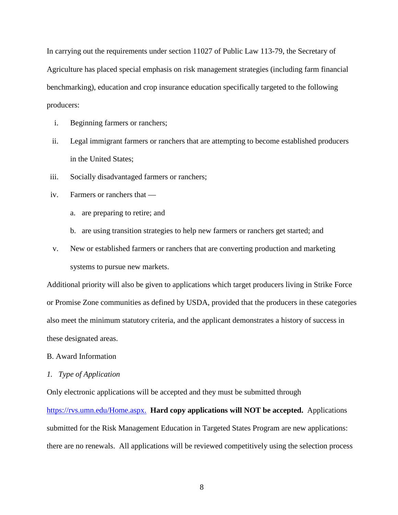In carrying out the requirements under section 11027 of Public Law 113-79, the Secretary of Agriculture has placed special emphasis on risk management strategies (including farm financial benchmarking), education and crop insurance education specifically targeted to the following producers:

- i. Beginning farmers or ranchers;
- ii. Legal immigrant farmers or ranchers that are attempting to become established producers in the United States;
- iii. Socially disadvantaged farmers or ranchers;
- iv. Farmers or ranchers that
	- a. are preparing to retire; and
	- b. are using transition strategies to help new farmers or ranchers get started; and
- v. New or established farmers or ranchers that are converting production and marketing systems to pursue new markets.

Additional priority will also be given to applications which target producers living in Strike Force or Promise Zone communities as defined by USDA, provided that the producers in these categories also meet the minimum statutory criteria, and the applicant demonstrates a history of success in these designated areas.

## B. Award Information

#### *1. Type of Application*

Only electronic applications will be accepted and they must be submitted through [https://rvs.umn.edu/Home.aspx.](https://rvs.umn.edu/Home.aspx)**Hard copy applications will NOT be accepted.** Applications submitted for the Risk Management Education in Targeted States Program are new applications: there are no renewals. All applications will be reviewed competitively using the selection process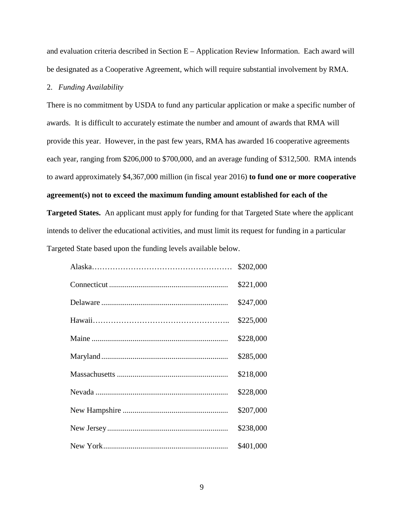and evaluation criteria described in Section E – Application Review Information. Each award will be designated as a Cooperative Agreement, which will require substantial involvement by RMA.

## 2. *Funding Availability*

There is no commitment by USDA to fund any particular application or make a specific number of awards. It is difficult to accurately estimate the number and amount of awards that RMA will provide this year. However, in the past few years, RMA has awarded 16 cooperative agreements each year, ranging from \$206,000 to \$700,000, and an average funding of \$312,500. RMA intends to award approximately \$4,367,000 million (in fiscal year 2016) **to fund one or more cooperative agreement(s) not to exceed the maximum funding amount established for each of the** 

**Targeted States.** An applicant must apply for funding for that Targeted State where the applicant intends to deliver the educational activities, and must limit its request for funding in a particular Targeted State based upon the funding levels available below.

| \$202,000 |
|-----------|
| \$221,000 |
| \$247,000 |
| \$225,000 |
| \$228,000 |
| \$285,000 |
| \$218,000 |
| \$228,000 |
| \$207,000 |
| \$238,000 |
| \$401,000 |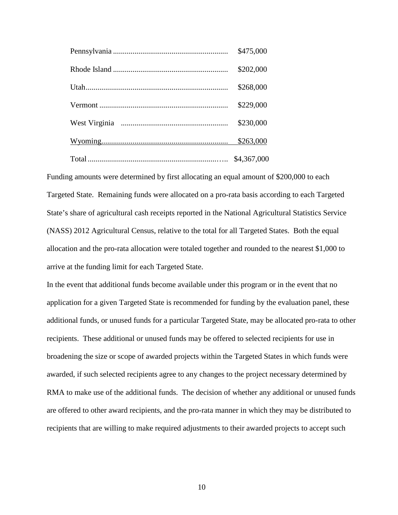| \$475,000   |
|-------------|
| \$202,000   |
| \$268,000   |
| \$229,000   |
| \$230,000   |
| \$263,000   |
| \$4,367,000 |

Funding amounts were determined by first allocating an equal amount of \$200,000 to each Targeted State. Remaining funds were allocated on a pro-rata basis according to each Targeted State's share of agricultural cash receipts reported in the National Agricultural Statistics Service (NASS) 2012 Agricultural Census, relative to the total for all Targeted States. Both the equal allocation and the pro-rata allocation were totaled together and rounded to the nearest \$1,000 to arrive at the funding limit for each Targeted State.

In the event that additional funds become available under this program or in the event that no application for a given Targeted State is recommended for funding by the evaluation panel, these additional funds, or unused funds for a particular Targeted State, may be allocated pro-rata to other recipients. These additional or unused funds may be offered to selected recipients for use in broadening the size or scope of awarded projects within the Targeted States in which funds were awarded, if such selected recipients agree to any changes to the project necessary determined by RMA to make use of the additional funds. The decision of whether any additional or unused funds are offered to other award recipients, and the pro-rata manner in which they may be distributed to recipients that are willing to make required adjustments to their awarded projects to accept such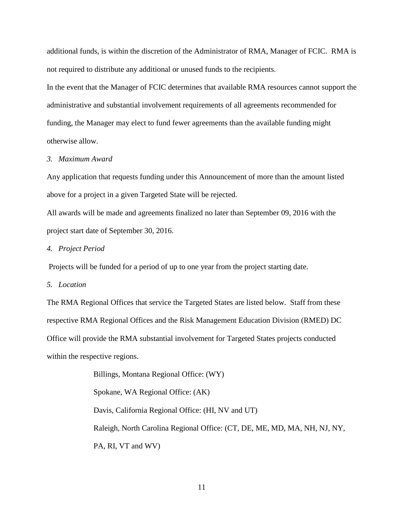additional funds, is within the discretion of the Administrator of RMA, Manager of FCIC. RMA is not required to distribute any additional or unused funds to the recipients.

In the event that the Manager of FCIC determines that available RMA resources cannot support the administrative and substantial involvement requirements of all agreements recommended for funding, the Manager may elect to fund fewer agreements than the available funding might otherwise allow.

#### *3. Maximum Award*

Any application that requests funding under this Announcement of more than the amount listed above for a project in a given Targeted State will be rejected.

All awards will be made and agreements finalized no later than September 09, 2016 with the project start date of September 30, 2016.

#### *4. Project Period*

Projects will be funded for a period of up to one year from the project starting date.

## *5. Location*

The RMA Regional Offices that service the Targeted States are listed below. Staff from these respective RMA Regional Offices and the Risk Management Education Division (RMED) DC Office will provide the RMA substantial involvement for Targeted States projects conducted within the respective regions.

> Billings, Montana Regional Office: (WY) Spokane, WA Regional Office: (AK) Davis, California Regional Office: (HI, NV and UT) Raleigh, North Carolina Regional Office: (CT, DE, ME, MD, MA, NH, NJ, NY, PA, RI, VT and WV)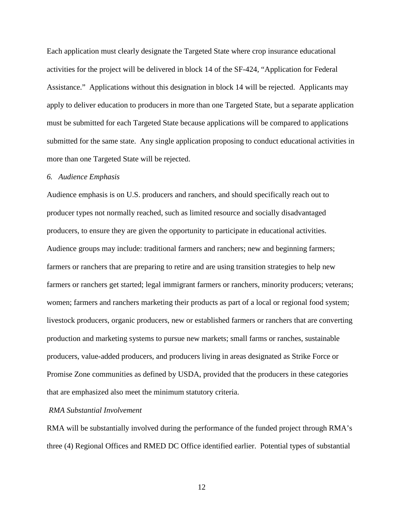Each application must clearly designate the Targeted State where crop insurance educational activities for the project will be delivered in block 14 of the SF-424, "Application for Federal Assistance." Applications without this designation in block 14 will be rejected. Applicants may apply to deliver education to producers in more than one Targeted State, but a separate application must be submitted for each Targeted State because applications will be compared to applications submitted for the same state. Any single application proposing to conduct educational activities in more than one Targeted State will be rejected.

#### *6. Audience Emphasis*

Audience emphasis is on U.S. producers and ranchers, and should specifically reach out to producer types not normally reached, such as limited resource and socially disadvantaged producers, to ensure they are given the opportunity to participate in educational activities. Audience groups may include: traditional farmers and ranchers; new and beginning farmers; farmers or ranchers that are preparing to retire and are using transition strategies to help new farmers or ranchers get started; legal immigrant farmers or ranchers, minority producers; veterans; women; farmers and ranchers marketing their products as part of a local or regional food system; livestock producers, organic producers, new or established farmers or ranchers that are converting production and marketing systems to pursue new markets; small farms or ranches, sustainable producers, value-added producers, and producers living in areas designated as Strike Force or Promise Zone communities as defined by USDA, provided that the producers in these categories that are emphasized also meet the minimum statutory criteria.

#### *RMA Substantial Involvement*

RMA will be substantially involved during the performance of the funded project through RMA's three (4) Regional Offices and RMED DC Office identified earlier. Potential types of substantial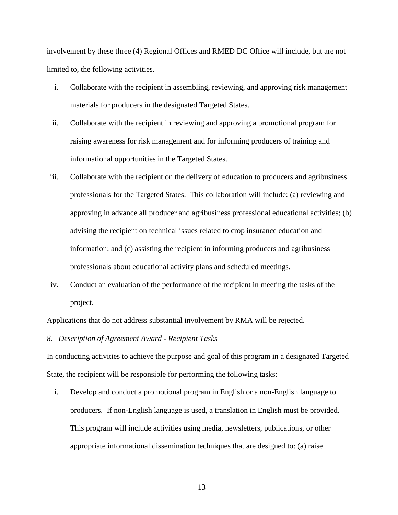involvement by these three (4) Regional Offices and RMED DC Office will include, but are not limited to, the following activities.

- i. Collaborate with the recipient in assembling, reviewing, and approving risk management materials for producers in the designated Targeted States.
- ii. Collaborate with the recipient in reviewing and approving a promotional program for raising awareness for risk management and for informing producers of training and informational opportunities in the Targeted States.
- iii. Collaborate with the recipient on the delivery of education to producers and agribusiness professionals for the Targeted States. This collaboration will include: (a) reviewing and approving in advance all producer and agribusiness professional educational activities; (b) advising the recipient on technical issues related to crop insurance education and information; and (c) assisting the recipient in informing producers and agribusiness professionals about educational activity plans and scheduled meetings.
- iv. Conduct an evaluation of the performance of the recipient in meeting the tasks of the project.

Applications that do not address substantial involvement by RMA will be rejected.

*8. Description of Agreement Award - Recipient Tasks*

In conducting activities to achieve the purpose and goal of this program in a designated Targeted State, the recipient will be responsible for performing the following tasks:

i. Develop and conduct a promotional program in English or a non-English language to producers. If non-English language is used, a translation in English must be provided. This program will include activities using media, newsletters, publications, or other appropriate informational dissemination techniques that are designed to: (a) raise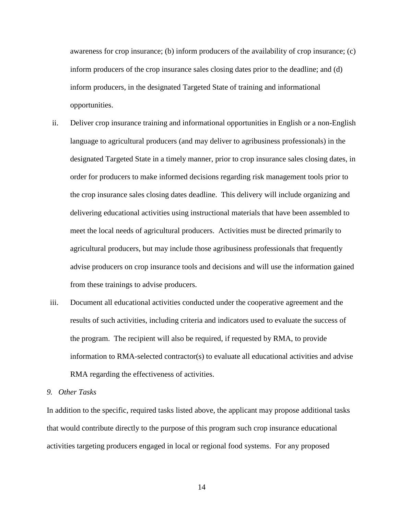awareness for crop insurance; (b) inform producers of the availability of crop insurance; (c) inform producers of the crop insurance sales closing dates prior to the deadline; and (d) inform producers, in the designated Targeted State of training and informational opportunities.

- ii. Deliver crop insurance training and informational opportunities in English or a non-English language to agricultural producers (and may deliver to agribusiness professionals) in the designated Targeted State in a timely manner, prior to crop insurance sales closing dates, in order for producers to make informed decisions regarding risk management tools prior to the crop insurance sales closing dates deadline. This delivery will include organizing and delivering educational activities using instructional materials that have been assembled to meet the local needs of agricultural producers. Activities must be directed primarily to agricultural producers, but may include those agribusiness professionals that frequently advise producers on crop insurance tools and decisions and will use the information gained from these trainings to advise producers.
- iii. Document all educational activities conducted under the cooperative agreement and the results of such activities, including criteria and indicators used to evaluate the success of the program. The recipient will also be required, if requested by RMA, to provide information to RMA-selected contractor(s) to evaluate all educational activities and advise RMA regarding the effectiveness of activities.

## *9. Other Tasks*

In addition to the specific, required tasks listed above, the applicant may propose additional tasks that would contribute directly to the purpose of this program such crop insurance educational activities targeting producers engaged in local or regional food systems. For any proposed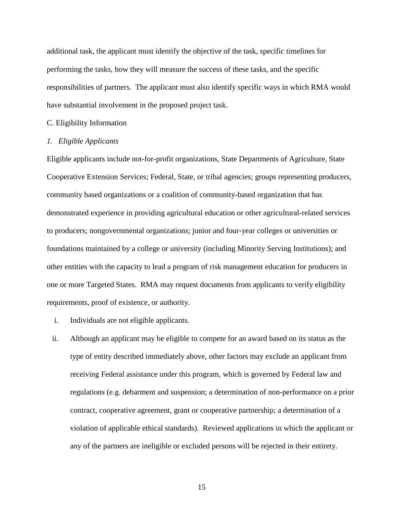additional task, the applicant must identify the objective of the task, specific timelines for performing the tasks, how they will measure the success of these tasks, and the specific responsibilities of partners. The applicant must also identify specific ways in which RMA would have substantial involvement in the proposed project task.

#### C. Eligibility Information

#### *1. Eligible Applicants*

Eligible applicants include not-for-profit organizations, State Departments of Agriculture, State Cooperative Extension Services; Federal, State, or tribal agencies; groups representing producers, community based organizations or a coalition of community-based organization that has demonstrated experience in providing agricultural education or other agricultural-related services to producers; nongovernmental organizations; junior and four-year colleges or universities or foundations maintained by a college or university (including Minority Serving Institutions); and other entities with the capacity to lead a program of risk management education for producers in one or more Targeted States. RMA may request documents from applicants to verify eligibility requirements, proof of existence, or authority.

- i. Individuals are not eligible applicants.
- ii. Although an applicant may be eligible to compete for an award based on its status as the type of entity described immediately above, other factors may exclude an applicant from receiving Federal assistance under this program, which is governed by Federal law and regulations (e.g. debarment and suspension; a determination of non-performance on a prior contract, cooperative agreement, grant or cooperative partnership; a determination of a violation of applicable ethical standards). Reviewed applications in which the applicant or any of the partners are ineligible or excluded persons will be rejected in their entirety.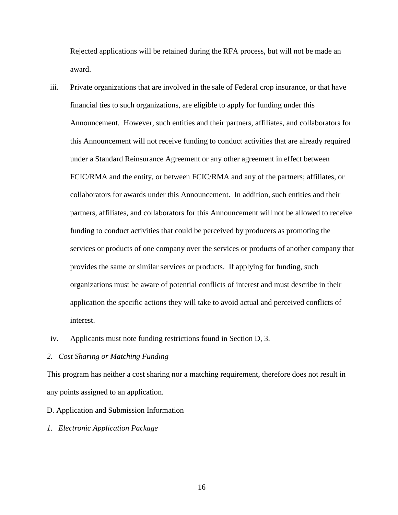Rejected applications will be retained during the RFA process, but will not be made an award.

- iii. Private organizations that are involved in the sale of Federal crop insurance, or that have financial ties to such organizations, are eligible to apply for funding under this Announcement. However, such entities and their partners, affiliates, and collaborators for this Announcement will not receive funding to conduct activities that are already required under a Standard Reinsurance Agreement or any other agreement in effect between FCIC/RMA and the entity, or between FCIC/RMA and any of the partners; affiliates, or collaborators for awards under this Announcement. In addition, such entities and their partners, affiliates, and collaborators for this Announcement will not be allowed to receive funding to conduct activities that could be perceived by producers as promoting the services or products of one company over the services or products of another company that provides the same or similar services or products. If applying for funding, such organizations must be aware of potential conflicts of interest and must describe in their application the specific actions they will take to avoid actual and perceived conflicts of interest.
- iv. Applicants must note funding restrictions found in Section D, 3.

## *2. Cost Sharing or Matching Funding*

This program has neither a cost sharing nor a matching requirement, therefore does not result in any points assigned to an application.

#### D. Application and Submission Information

*1. Electronic Application Package*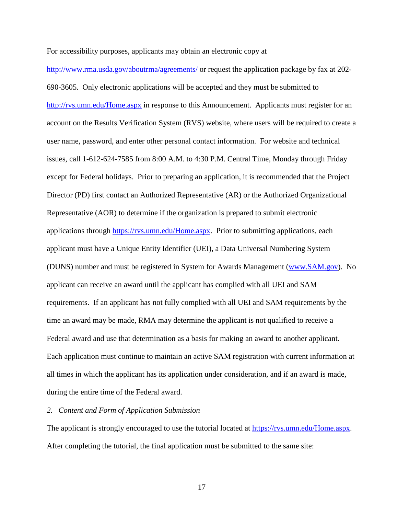For accessibility purposes, applicants may obtain an electronic copy at

<http://www.rma.usda.gov/aboutrma/agreements/> or request the application package by fax at 202- 690-3605. Only electronic applications will be accepted and they must be submitted to <http://rvs.umn.edu/Home.aspx> in response to this Announcement. Applicants must register for an account on the Results Verification System (RVS) website, where users will be required to create a user name, password, and enter other personal contact information. For website and technical issues, call 1-612-624-7585 from 8:00 A.M. to 4:30 P.M. Central Time, Monday through Friday except for Federal holidays. Prior to preparing an application, it is recommended that the Project Director (PD) first contact an Authorized Representative (AR) or the Authorized Organizational Representative (AOR) to determine if the organization is prepared to submit electronic applications through [https://rvs.umn.edu/Home.aspx.](https://rvs.umn.edu/Home.aspx) Prior to submitting applications, each applicant must have a Unique Entity Identifier (UEI), a Data Universal Numbering System (DUNS) number and must be registered in System for Awards Management [\(www.SAM.gov\)](http://www.sam.gov/). No applicant can receive an award until the applicant has complied with all UEI and SAM requirements. If an applicant has not fully complied with all UEI and SAM requirements by the time an award may be made, RMA may determine the applicant is not qualified to receive a Federal award and use that determination as a basis for making an award to another applicant. Each application must continue to maintain an active SAM registration with current information at all times in which the applicant has its application under consideration, and if an award is made, during the entire time of the Federal award.

### *2. Content and Form of Application Submission*

The applicant is strongly encouraged to use the tutorial located at [https://rvs.umn.edu/Home.aspx.](https://rvs.umn.edu/Home.aspx) After completing the tutorial, the final application must be submitted to the same site: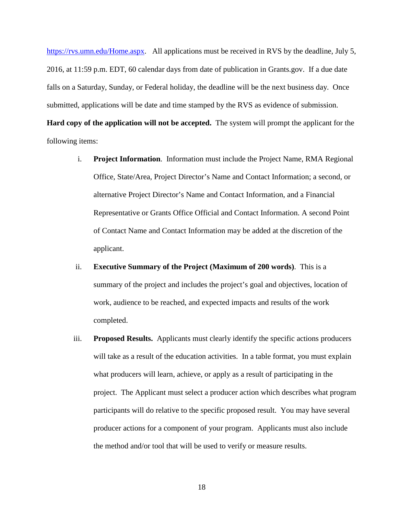[https://rvs.umn.edu/Home.aspx.](https://rvs.umn.edu/Home.aspx) All applications must be received in RVS by the deadline, July 5, 2016, at 11:59 p.m. EDT, 60 calendar days from date of publication in Grants.gov. If a due date falls on a Saturday, Sunday, or Federal holiday, the deadline will be the next business day. Once submitted, applications will be date and time stamped by the RVS as evidence of submission. **Hard copy of the application will not be accepted.** The system will prompt the applicant for the following items:

- i. **Project Information**. Information must include the Project Name, RMA Regional Office, State/Area, Project Director's Name and Contact Information; a second, or alternative Project Director's Name and Contact Information, and a Financial Representative or Grants Office Official and Contact Information. A second Point of Contact Name and Contact Information may be added at the discretion of the applicant.
- ii. **Executive Summary of the Project (Maximum of 200 words)**. This is a summary of the project and includes the project's goal and objectives, location of work, audience to be reached, and expected impacts and results of the work completed.
- iii. **Proposed Results.** Applicants must clearly identify the specific actions producers will take as a result of the education activities. In a table format, you must explain what producers will learn, achieve, or apply as a result of participating in the project. The Applicant must select a producer action which describes what program participants will do relative to the specific proposed result. You may have several producer actions for a component of your program. Applicants must also include the method and/or tool that will be used to verify or measure results.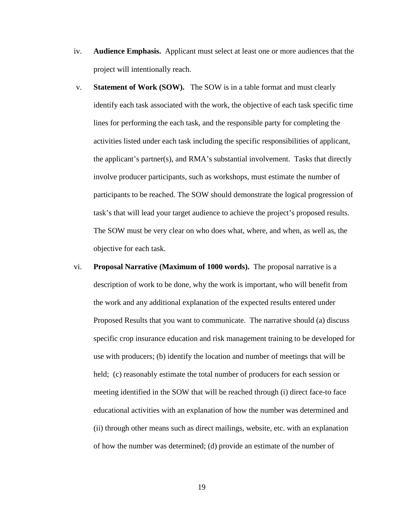- iv. **Audience Emphasis.** Applicant must select at least one or more audiences that the project will intentionally reach.
- v. **Statement of Work (SOW).** The SOW is in a table format and must clearly identify each task associated with the work, the objective of each task specific time lines for performing the each task, and the responsible party for completing the activities listed under each task including the specific responsibilities of applicant, the applicant's partner(s), and RMA's substantial involvement. Tasks that directly involve producer participants, such as workshops, must estimate the number of participants to be reached. The SOW should demonstrate the logical progression of task's that will lead your target audience to achieve the project's proposed results. The SOW must be very clear on who does what, where, and when, as well as, the objective for each task.
- vi. **Proposal Narrative (Maximum of 1000 words).** The proposal narrative is a description of work to be done, why the work is important, who will benefit from the work and any additional explanation of the expected results entered under Proposed Results that you want to communicate. The narrative should (a) discuss specific crop insurance education and risk management training to be developed for use with producers; (b) identify the location and number of meetings that will be held; (c) reasonably estimate the total number of producers for each session or meeting identified in the SOW that will be reached through (i) direct face-to face educational activities with an explanation of how the number was determined and (ii) through other means such as direct mailings, website, etc. with an explanation of how the number was determined; (d) provide an estimate of the number of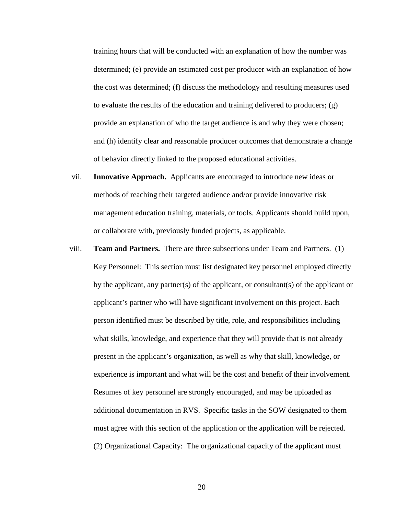training hours that will be conducted with an explanation of how the number was determined; (e) provide an estimated cost per producer with an explanation of how the cost was determined; (f) discuss the methodology and resulting measures used to evaluate the results of the education and training delivered to producers;  $(g)$ provide an explanation of who the target audience is and why they were chosen; and (h) identify clear and reasonable producer outcomes that demonstrate a change of behavior directly linked to the proposed educational activities.

- vii. **Innovative Approach.** Applicants are encouraged to introduce new ideas or methods of reaching their targeted audience and/or provide innovative risk management education training, materials, or tools. Applicants should build upon, or collaborate with, previously funded projects, as applicable.
- viii. **Team and Partners.** There are three subsections under Team and Partners. (1) Key Personnel: This section must list designated key personnel employed directly by the applicant, any partner(s) of the applicant, or consultant(s) of the applicant or applicant's partner who will have significant involvement on this project. Each person identified must be described by title, role, and responsibilities including what skills, knowledge, and experience that they will provide that is not already present in the applicant's organization, as well as why that skill, knowledge, or experience is important and what will be the cost and benefit of their involvement. Resumes of key personnel are strongly encouraged, and may be uploaded as additional documentation in RVS. Specific tasks in the SOW designated to them must agree with this section of the application or the application will be rejected. (2) Organizational Capacity: The organizational capacity of the applicant must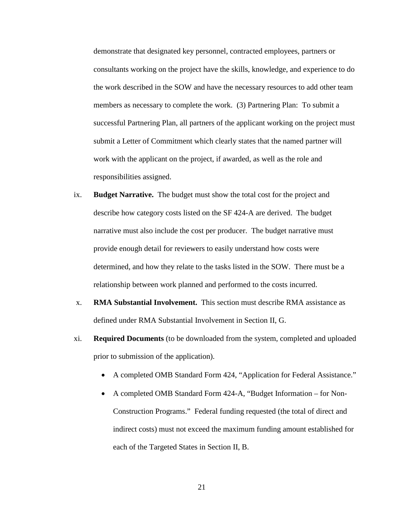demonstrate that designated key personnel, contracted employees, partners or consultants working on the project have the skills, knowledge, and experience to do the work described in the SOW and have the necessary resources to add other team members as necessary to complete the work. (3) Partnering Plan: To submit a successful Partnering Plan, all partners of the applicant working on the project must submit a Letter of Commitment which clearly states that the named partner will work with the applicant on the project, if awarded, as well as the role and responsibilities assigned.

- ix. **Budget Narrative.** The budget must show the total cost for the project and describe how category costs listed on the SF 424-A are derived. The budget narrative must also include the cost per producer. The budget narrative must provide enough detail for reviewers to easily understand how costs were determined, and how they relate to the tasks listed in the SOW. There must be a relationship between work planned and performed to the costs incurred.
- x. **RMA Substantial Involvement.** This section must describe RMA assistance as defined under RMA Substantial Involvement in Section II, G.
- xi. **Required Documents** (to be downloaded from the system, completed and uploaded prior to submission of the application).
	- A completed OMB Standard Form 424, "Application for Federal Assistance."
	- A completed OMB Standard Form 424-A, "Budget Information for Non-Construction Programs." Federal funding requested (the total of direct and indirect costs) must not exceed the maximum funding amount established for each of the Targeted States in Section II, B.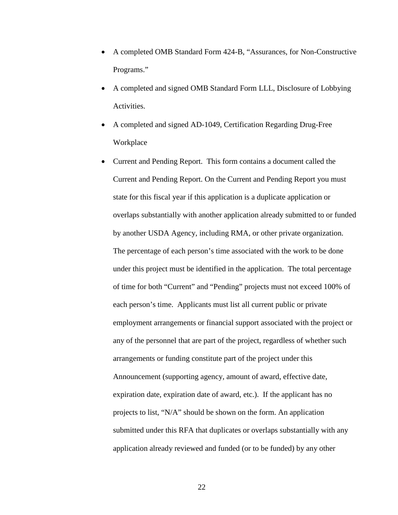- A completed OMB Standard Form 424-B, "Assurances, for Non-Constructive Programs."
- A completed and signed OMB Standard Form LLL, Disclosure of Lobbying Activities.
- A completed and signed AD-1049, Certification Regarding Drug-Free Workplace
- Current and Pending Report. This form contains a document called the Current and Pending Report. On the Current and Pending Report you must state for this fiscal year if this application is a duplicate application or overlaps substantially with another application already submitted to or funded by another USDA Agency, including RMA, or other private organization. The percentage of each person's time associated with the work to be done under this project must be identified in the application. The total percentage of time for both "Current" and "Pending" projects must not exceed 100% of each person's time. Applicants must list all current public or private employment arrangements or financial support associated with the project or any of the personnel that are part of the project, regardless of whether such arrangements or funding constitute part of the project under this Announcement (supporting agency, amount of award, effective date, expiration date, expiration date of award, etc.). If the applicant has no projects to list, "N/A" should be shown on the form. An application submitted under this RFA that duplicates or overlaps substantially with any application already reviewed and funded (or to be funded) by any other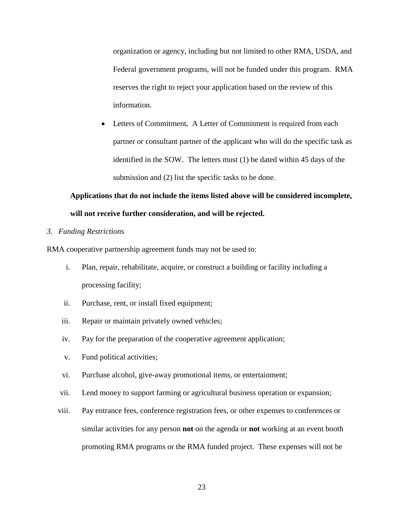organization or agency, including but not limited to other RMA, USDA, and Federal government programs, will not be funded under this program. RMA reserves the right to reject your application based on the review of this information.

• Letters of Commitment**.** A Letter of Commitment is required from each partner or consultant partner of the applicant who will do the specific task as identified in the SOW. The letters must (1) be dated within 45 days of the submission and (2) list the specific tasks to be done.

# **Applications that do not include the items listed above will be considered incomplete, will not receive further consideration, and will be rejected.**

# *3. Funding Restrictions*

RMA cooperative partnership agreement funds may not be used to:

- i. Plan, repair, rehabilitate, acquire, or construct a building or facility including a processing facility;
- ii. Purchase, rent, or install fixed equipment;
- iii. Repair or maintain privately owned vehicles;
- iv. Pay for the preparation of the cooperative agreement application;
- v. Fund political activities;
- vi. Purchase alcohol, give-away promotional items, or entertainment;
- vii. Lend money to support farming or agricultural business operation or expansion;
- viii. Pay entrance fees, conference registration fees, or other expenses to conferences or similar activities for any person **not** on the agenda or **not** working at an event booth promoting RMA programs or the RMA funded project. These expenses will not be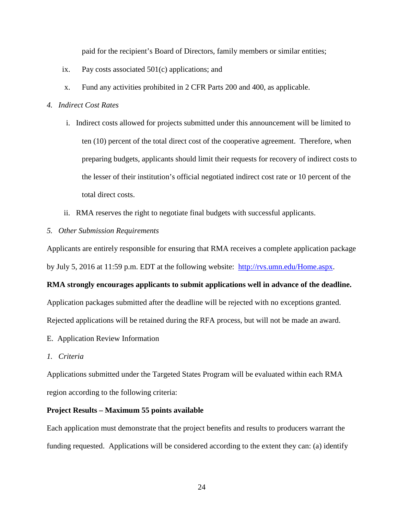paid for the recipient's Board of Directors, family members or similar entities;

- ix. Pay costs associated 501(c) applications; and
- x. Fund any activities prohibited in 2 CFR Parts 200 and 400, as applicable.

# *4. Indirect Cost Rates*

- i. Indirect costs allowed for projects submitted under this announcement will be limited to ten (10) percent of the total direct cost of the cooperative agreement. Therefore, when preparing budgets, applicants should limit their requests for recovery of indirect costs to the lesser of their institution's official negotiated indirect cost rate or 10 percent of the total direct costs.
- ii. RMA reserves the right to negotiate final budgets with successful applicants.
- *5. Other Submission Requirements*

Applicants are entirely responsible for ensuring that RMA receives a complete application package by July 5, 2016 at 11:59 p.m. EDT at the following website: [http://rvs.umn.edu/Home.aspx.](http://rvs.umn.edu/Home.aspx)

## **RMA strongly encourages applicants to submit applications well in advance of the deadline.**

Application packages submitted after the deadline will be rejected with no exceptions granted.

Rejected applications will be retained during the RFA process, but will not be made an award.

- E. Application Review Information
- *1. Criteria*

Applications submitted under the Targeted States Program will be evaluated within each RMA region according to the following criteria:

## **Project Results – Maximum 55 points available**

Each application must demonstrate that the project benefits and results to producers warrant the funding requested. Applications will be considered according to the extent they can: (a) identify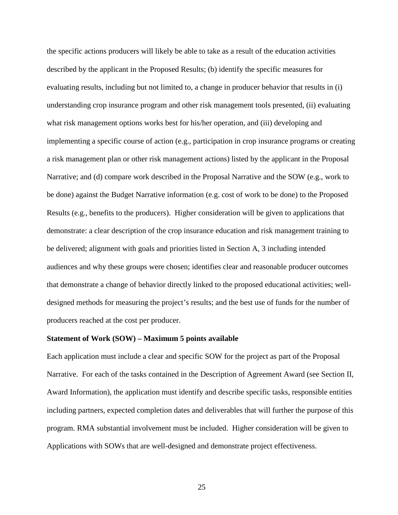the specific actions producers will likely be able to take as a result of the education activities described by the applicant in the Proposed Results; (b) identify the specific measures for evaluating results, including but not limited to, a change in producer behavior that results in (i) understanding crop insurance program and other risk management tools presented, (ii) evaluating what risk management options works best for his/her operation, and (iii) developing and implementing a specific course of action (e.g., participation in crop insurance programs or creating a risk management plan or other risk management actions) listed by the applicant in the Proposal Narrative; and (d) compare work described in the Proposal Narrative and the SOW (e.g., work to be done) against the Budget Narrative information (e.g. cost of work to be done) to the Proposed Results (e.g., benefits to the producers). Higher consideration will be given to applications that demonstrate: a clear description of the crop insurance education and risk management training to be delivered; alignment with goals and priorities listed in Section A, 3 including intended audiences and why these groups were chosen; identifies clear and reasonable producer outcomes that demonstrate a change of behavior directly linked to the proposed educational activities; welldesigned methods for measuring the project's results; and the best use of funds for the number of producers reached at the cost per producer.

### **Statement of Work (SOW) – Maximum 5 points available**

Each application must include a clear and specific SOW for the project as part of the Proposal Narrative. For each of the tasks contained in the Description of Agreement Award (see Section II, Award Information), the application must identify and describe specific tasks, responsible entities including partners, expected completion dates and deliverables that will further the purpose of this program. RMA substantial involvement must be included. Higher consideration will be given to Applications with SOWs that are well-designed and demonstrate project effectiveness.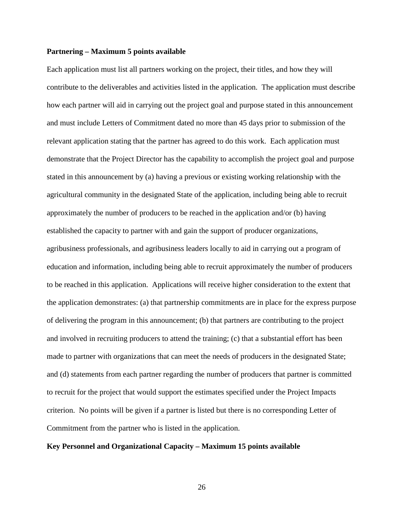#### **Partnering – Maximum 5 points available**

Each application must list all partners working on the project, their titles, and how they will contribute to the deliverables and activities listed in the application. The application must describe how each partner will aid in carrying out the project goal and purpose stated in this announcement and must include Letters of Commitment dated no more than 45 days prior to submission of the relevant application stating that the partner has agreed to do this work. Each application must demonstrate that the Project Director has the capability to accomplish the project goal and purpose stated in this announcement by (a) having a previous or existing working relationship with the agricultural community in the designated State of the application, including being able to recruit approximately the number of producers to be reached in the application and/or (b) having established the capacity to partner with and gain the support of producer organizations, agribusiness professionals, and agribusiness leaders locally to aid in carrying out a program of education and information, including being able to recruit approximately the number of producers to be reached in this application. Applications will receive higher consideration to the extent that the application demonstrates: (a) that partnership commitments are in place for the express purpose of delivering the program in this announcement; (b) that partners are contributing to the project and involved in recruiting producers to attend the training; (c) that a substantial effort has been made to partner with organizations that can meet the needs of producers in the designated State; and (d) statements from each partner regarding the number of producers that partner is committed to recruit for the project that would support the estimates specified under the Project Impacts criterion. No points will be given if a partner is listed but there is no corresponding Letter of Commitment from the partner who is listed in the application.

#### **Key Personnel and Organizational Capacity – Maximum 15 points available**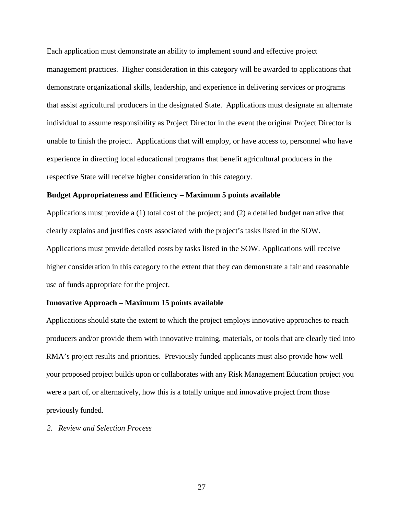Each application must demonstrate an ability to implement sound and effective project management practices. Higher consideration in this category will be awarded to applications that demonstrate organizational skills, leadership, and experience in delivering services or programs that assist agricultural producers in the designated State. Applications must designate an alternate individual to assume responsibility as Project Director in the event the original Project Director is unable to finish the project. Applications that will employ, or have access to, personnel who have experience in directing local educational programs that benefit agricultural producers in the respective State will receive higher consideration in this category.

#### **Budget Appropriateness and Efficiency – Maximum 5 points available**

Applications must provide a (1) total cost of the project; and (2) a detailed budget narrative that clearly explains and justifies costs associated with the project's tasks listed in the SOW. Applications must provide detailed costs by tasks listed in the SOW. Applications will receive higher consideration in this category to the extent that they can demonstrate a fair and reasonable use of funds appropriate for the project.

#### **Innovative Approach – Maximum 15 points available**

Applications should state the extent to which the project employs innovative approaches to reach producers and/or provide them with innovative training, materials, or tools that are clearly tied into RMA's project results and priorities. Previously funded applicants must also provide how well your proposed project builds upon or collaborates with any Risk Management Education project you were a part of, or alternatively, how this is a totally unique and innovative project from those previously funded.

#### *2. Review and Selection Process*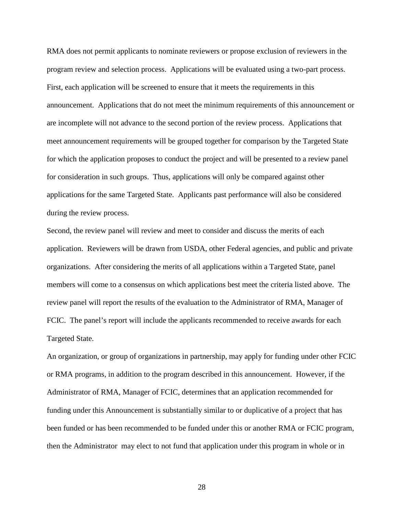RMA does not permit applicants to nominate reviewers or propose exclusion of reviewers in the program review and selection process. Applications will be evaluated using a two-part process. First, each application will be screened to ensure that it meets the requirements in this announcement. Applications that do not meet the minimum requirements of this announcement or are incomplete will not advance to the second portion of the review process. Applications that meet announcement requirements will be grouped together for comparison by the Targeted State for which the application proposes to conduct the project and will be presented to a review panel for consideration in such groups. Thus, applications will only be compared against other applications for the same Targeted State. Applicants past performance will also be considered during the review process.

Second, the review panel will review and meet to consider and discuss the merits of each application. Reviewers will be drawn from USDA, other Federal agencies, and public and private organizations. After considering the merits of all applications within a Targeted State, panel members will come to a consensus on which applications best meet the criteria listed above. The review panel will report the results of the evaluation to the Administrator of RMA, Manager of FCIC. The panel's report will include the applicants recommended to receive awards for each Targeted State.

An organization, or group of organizations in partnership, may apply for funding under other FCIC or RMA programs, in addition to the program described in this announcement. However, if the Administrator of RMA, Manager of FCIC, determines that an application recommended for funding under this Announcement is substantially similar to or duplicative of a project that has been funded or has been recommended to be funded under this or another RMA or FCIC program, then the Administrator may elect to not fund that application under this program in whole or in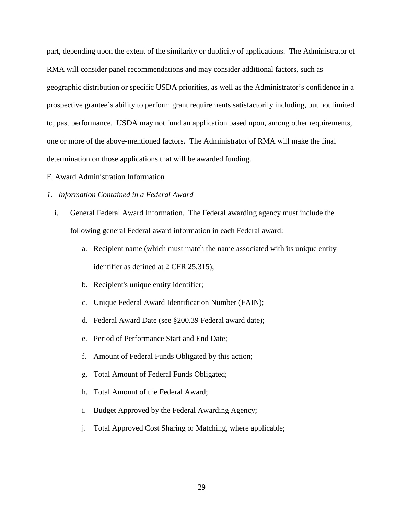part, depending upon the extent of the similarity or duplicity of applications. The Administrator of RMA will consider panel recommendations and may consider additional factors, such as geographic distribution or specific USDA priorities, as well as the Administrator's confidence in a prospective grantee's ability to perform grant requirements satisfactorily including, but not limited to, past performance. USDA may not fund an application based upon, among other requirements, one or more of the above-mentioned factors. The Administrator of RMA will make the final determination on those applications that will be awarded funding.

- F. Award Administration Information
- *1. Information Contained in a Federal Award*
	- i. General Federal Award Information. The Federal awarding agency must include the following general Federal award information in each Federal award:
		- a. Recipient name (which must match the name associated with its unique entity identifier as defined at 2 CFR 25.315);
		- b. Recipient's unique entity identifier;
		- c. Unique Federal Award Identification Number (FAIN);
		- d. Federal Award Date (see §200.39 Federal award date);
		- e. Period of Performance Start and End Date;
		- f. Amount of Federal Funds Obligated by this action;
		- g. Total Amount of Federal Funds Obligated;
		- h. Total Amount of the Federal Award;
		- i. Budget Approved by the Federal Awarding Agency;
		- j. Total Approved Cost Sharing or Matching, where applicable;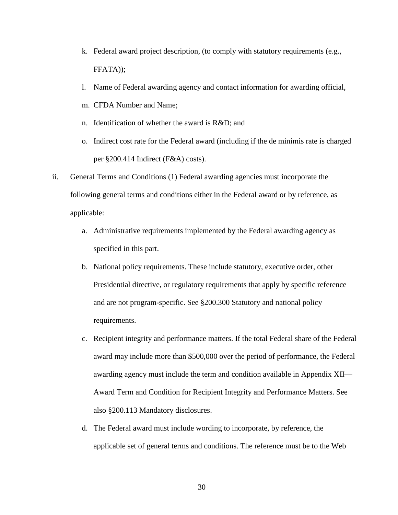- k. Federal award project description, (to comply with statutory requirements (e.g., FFATA));
- l. Name of Federal awarding agency and contact information for awarding official,
- m. CFDA Number and Name;
- n. Identification of whether the award is R&D; and
- o. Indirect cost rate for the Federal award (including if the de minimis rate is charged per §200.414 Indirect (F&A) costs).
- ii. General Terms and Conditions (1) Federal awarding agencies must incorporate the following general terms and conditions either in the Federal award or by reference, as applicable:
	- a. Administrative requirements implemented by the Federal awarding agency as specified in this part.
	- b. National policy requirements. These include statutory, executive order, other Presidential directive, or regulatory requirements that apply by specific reference and are not program-specific. See §200.300 Statutory and national policy requirements.
	- c. Recipient integrity and performance matters. If the total Federal share of the Federal award may include more than \$500,000 over the period of performance, the Federal awarding agency must include the term and condition available in Appendix XII— Award Term and Condition for Recipient Integrity and Performance Matters. See also §200.113 Mandatory disclosures.
	- d. The Federal award must include wording to incorporate, by reference, the applicable set of general terms and conditions. The reference must be to the Web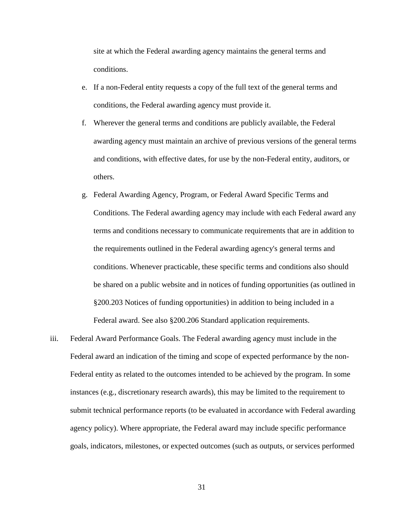site at which the Federal awarding agency maintains the general terms and conditions.

- e. If a non-Federal entity requests a copy of the full text of the general terms and conditions, the Federal awarding agency must provide it.
- f. Wherever the general terms and conditions are publicly available, the Federal awarding agency must maintain an archive of previous versions of the general terms and conditions, with effective dates, for use by the non-Federal entity, auditors, or others.
- g. Federal Awarding Agency, Program, or Federal Award Specific Terms and Conditions. The Federal awarding agency may include with each Federal award any terms and conditions necessary to communicate requirements that are in addition to the requirements outlined in the Federal awarding agency's general terms and conditions. Whenever practicable, these specific terms and conditions also should be shared on a public website and in notices of funding opportunities (as outlined in §200.203 Notices of funding opportunities) in addition to being included in a Federal award. See also §200.206 Standard application requirements.
- iii. Federal Award Performance Goals. The Federal awarding agency must include in the Federal award an indication of the timing and scope of expected performance by the non-Federal entity as related to the outcomes intended to be achieved by the program. In some instances (e.g., discretionary research awards), this may be limited to the requirement to submit technical performance reports (to be evaluated in accordance with Federal awarding agency policy). Where appropriate, the Federal award may include specific performance goals, indicators, milestones, or expected outcomes (such as outputs, or services performed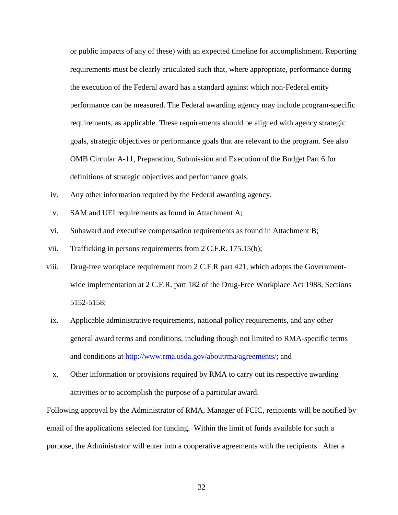or public impacts of any of these) with an expected timeline for accomplishment. Reporting requirements must be clearly articulated such that, where appropriate, performance during the execution of the Federal award has a standard against which non-Federal entity performance can be measured. The Federal awarding agency may include program-specific requirements, as applicable. These requirements should be aligned with agency strategic goals, strategic objectives or performance goals that are relevant to the program. See also OMB Circular A-11, Preparation, Submission and Execution of the Budget Part 6 for definitions of strategic objectives and performance goals.

- iv. Any other information required by the Federal awarding agency.
- v. SAM and UEI requirements as found in Attachment A;
- vi. Subaward and executive compensation requirements as found in Attachment B;
- vii. Trafficking in persons requirements from 2 C.F.R. 175.15(b);
- viii. Drug-free workplace requirement from 2 C.F.R part 421, which adopts the Governmentwide implementation at 2 C.F.R. part 182 of the Drug-Free Workplace Act 1988, Sections 5152-5158;
- ix. Applicable administrative requirements, national policy requirements, and any other general award terms and conditions, including though not limited to RMA-specific terms and conditions at [http://www.rma.usda.gov/aboutrma/agreements/;](http://www.rma.usda.gov/aboutrma/agreements/) and
- x. Other information or provisions required by RMA to carry out its respective awarding activities or to accomplish the purpose of a particular award.

Following approval by the Administrator of RMA, Manager of FCIC, recipients will be notified by email of the applications selected for funding. Within the limit of funds available for such a purpose, the Administrator will enter into a cooperative agreements with the recipients. After a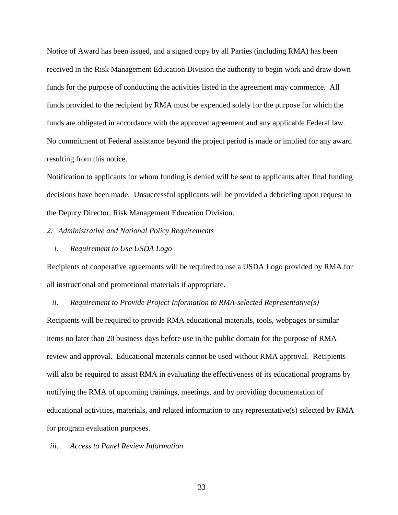Notice of Award has been issued, and a signed copy by all Parties (including RMA) has been received in the Risk Management Education Division the authority to begin work and draw down funds for the purpose of conducting the activities listed in the agreement may commence. All funds provided to the recipient by RMA must be expended solely for the purpose for which the funds are obligated in accordance with the approved agreement and any applicable Federal law. No commitment of Federal assistance beyond the project period is made or implied for any award resulting from this notice.

Notification to applicants for whom funding is denied will be sent to applicants after final funding decisions have been made. Unsuccessful applicants will be provided a debriefing upon request to the Deputy Director, Risk Management Education Division.

#### *2. Administrative and National Policy Requirements*

*i. Requirement to Use USDA Logo*

Recipients of cooperative agreements will be required to use a USDA Logo provided by RMA for all instructional and promotional materials if appropriate.

#### *ii. Requirement to Provide Project Information to RMA-selected Representative(s)*

Recipients will be required to provide RMA educational materials, tools, webpages or similar items no later than 20 business days before use in the public domain for the purpose of RMA review and approval. Educational materials cannot be used without RMA approval. Recipients will also be required to assist RMA in evaluating the effectiveness of its educational programs by notifying the RMA of upcoming trainings, meetings, and by providing documentation of educational activities, materials, and related information to any representative(s) selected by RMA for program evaluation purposes.

#### *iii. Access to Panel Review Information*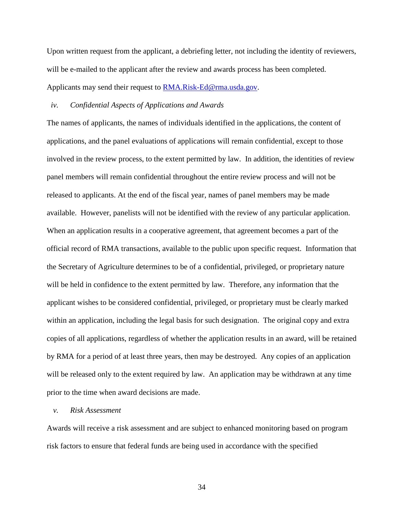Upon written request from the applicant, a debriefing letter, not including the identity of reviewers, will be e-mailed to the applicant after the review and awards process has been completed. Applicants may send their request to [RMA.Risk-Ed@rma.usda.gov.](mailto:RMA.Risk-Ed@rma.usda.gov)

### *iv. Confidential Aspects of Applications and Awards*

The names of applicants, the names of individuals identified in the applications, the content of applications, and the panel evaluations of applications will remain confidential, except to those involved in the review process, to the extent permitted by law. In addition, the identities of review panel members will remain confidential throughout the entire review process and will not be released to applicants. At the end of the fiscal year, names of panel members may be made available. However, panelists will not be identified with the review of any particular application. When an application results in a cooperative agreement, that agreement becomes a part of the official record of RMA transactions, available to the public upon specific request. Information that the Secretary of Agriculture determines to be of a confidential, privileged, or proprietary nature will be held in confidence to the extent permitted by law. Therefore, any information that the applicant wishes to be considered confidential, privileged, or proprietary must be clearly marked within an application, including the legal basis for such designation. The original copy and extra copies of all applications, regardless of whether the application results in an award, will be retained by RMA for a period of at least three years, then may be destroyed. Any copies of an application will be released only to the extent required by law. An application may be withdrawn at any time prior to the time when award decisions are made.

### *v. Risk Assessment*

Awards will receive a risk assessment and are subject to enhanced monitoring based on program risk factors to ensure that federal funds are being used in accordance with the specified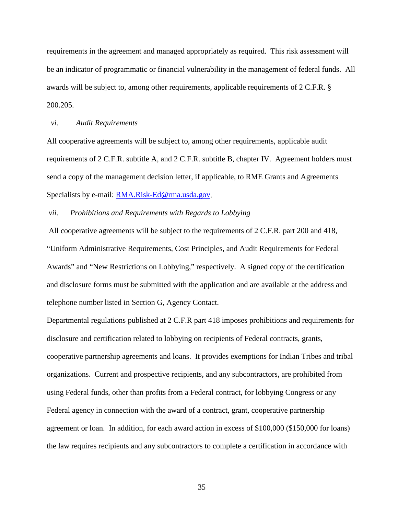requirements in the agreement and managed appropriately as required. This risk assessment will be an indicator of programmatic or financial vulnerability in the management of federal funds. All awards will be subject to, among other requirements, applicable requirements of 2 C.F.R. § 200.205.

### *vi. Audit Requirements*

All cooperative agreements will be subject to, among other requirements, applicable audit requirements of 2 C.F.R. subtitle A, and 2 C.F.R. subtitle B, chapter IV. Agreement holders must send a copy of the management decision letter, if applicable, to RME Grants and Agreements Specialists by e-mail: [RMA.Risk-Ed@rma.usda.gov.](mailto:RMA.Risk-Ed@rma.usda.gov)

## *vii. Prohibitions and Requirements with Regards to Lobbying*

All cooperative agreements will be subject to the requirements of 2 C.F.R. part 200 and 418, "Uniform Administrative Requirements, Cost Principles, and Audit Requirements for Federal Awards" and "New Restrictions on Lobbying," respectively. A signed copy of the certification and disclosure forms must be submitted with the application and are available at the address and telephone number listed in Section G, Agency Contact.

Departmental regulations published at 2 C.F.R part 418 imposes prohibitions and requirements for disclosure and certification related to lobbying on recipients of Federal contracts, grants, cooperative partnership agreements and loans. It provides exemptions for Indian Tribes and tribal organizations. Current and prospective recipients, and any subcontractors, are prohibited from using Federal funds, other than profits from a Federal contract, for lobbying Congress or any Federal agency in connection with the award of a contract, grant, cooperative partnership agreement or loan. In addition, for each award action in excess of \$100,000 (\$150,000 for loans) the law requires recipients and any subcontractors to complete a certification in accordance with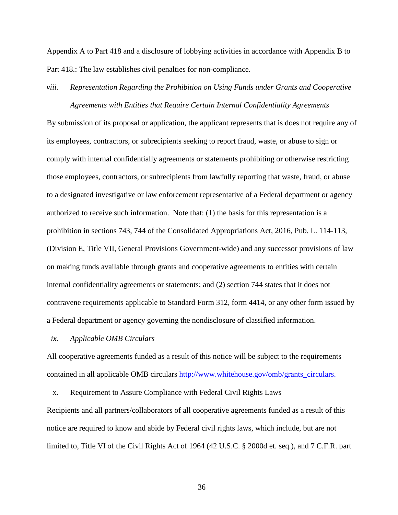Appendix A to Part 418 and a disclosure of lobbying activities in accordance with Appendix B to Part 418.: The law establishes civil penalties for non-compliance.

*viii. Representation Regarding the Prohibition on Using Funds under Grants and Cooperative Agreements with Entities that Require Certain Internal Confidentiality Agreements*

By submission of its proposal or application, the applicant represents that is does not require any of its employees, contractors, or subrecipients seeking to report fraud, waste, or abuse to sign or comply with internal confidentially agreements or statements prohibiting or otherwise restricting those employees, contractors, or subrecipients from lawfully reporting that waste, fraud, or abuse to a designated investigative or law enforcement representative of a Federal department or agency authorized to receive such information. Note that: (1) the basis for this representation is a prohibition in sections 743, 744 of the Consolidated Appropriations Act, 2016, Pub. L. 114-113, (Division E, Title VII, General Provisions Government-wide) and any successor provisions of law on making funds available through grants and cooperative agreements to entities with certain internal confidentiality agreements or statements; and (2) section 744 states that it does not contravene requirements applicable to Standard Form 312, form 4414, or any other form issued by a Federal department or agency governing the nondisclosure of classified information.

#### *ix. Applicable OMB Circulars*

All cooperative agreements funded as a result of this notice will be subject to the requirements contained in all applicable OMB circulars [http://www.whitehouse.gov/omb/grants\\_circulars.](http://www.whitehouse.gov/omb/grants_circulars)

x. Requirement to Assure Compliance with Federal Civil Rights Laws Recipients and all partners/collaborators of all cooperative agreements funded as a result of this notice are required to know and abide by Federal civil rights laws, which include, but are not limited to, Title VI of the Civil Rights Act of 1964 (42 U.S.C. § 2000d et. seq.), and 7 C.F.R. part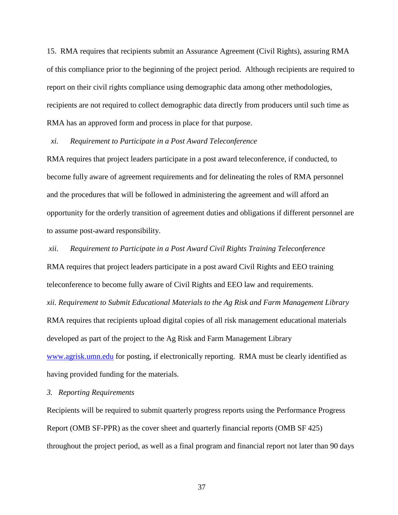15. RMA requires that recipients submit an Assurance Agreement (Civil Rights), assuring RMA of this compliance prior to the beginning of the project period. Although recipients are required to report on their civil rights compliance using demographic data among other methodologies, recipients are not required to collect demographic data directly from producers until such time as RMA has an approved form and process in place for that purpose.

*xi. Requirement to Participate in a Post Award Teleconference*

RMA requires that project leaders participate in a post award teleconference, if conducted, to become fully aware of agreement requirements and for delineating the roles of RMA personnel and the procedures that will be followed in administering the agreement and will afford an opportunity for the orderly transition of agreement duties and obligations if different personnel are to assume post-award responsibility.

*xii. Requirement to Participate in a Post Award Civil Rights Training Teleconference*

RMA requires that project leaders participate in a post award Civil Rights and EEO training teleconference to become fully aware of Civil Rights and EEO law and requirements. *xii. Requirement to Submit Educational Materials to the Ag Risk and Farm Management Library* RMA requires that recipients upload digital copies of all risk management educational materials developed as part of the project to the Ag Risk and Farm Management Library [www.agrisk.umn.edu](http://www.agrisk.umn.edu/) for posting, if electronically reporting. RMA must be clearly identified as having provided funding for the materials.

# *3. Reporting Requirements*

Recipients will be required to submit quarterly progress reports using the Performance Progress Report (OMB SF-PPR) as the cover sheet and quarterly financial reports (OMB SF 425) throughout the project period, as well as a final program and financial report not later than 90 days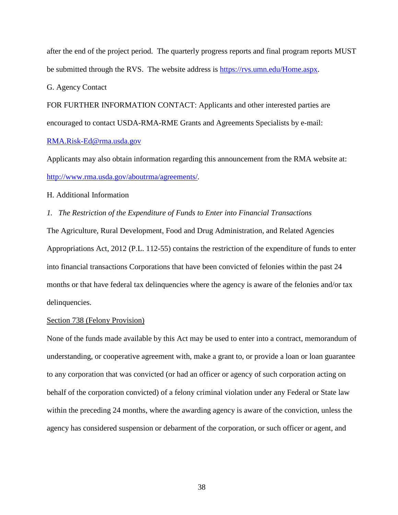after the end of the project period. The quarterly progress reports and final program reports MUST be submitted through the RVS. The website address is [https://rvs.umn.edu/Home.aspx.](https://rvs.umn.edu/Home.aspx)

G. Agency Contact

FOR FURTHER INFORMATION CONTACT: Applicants and other interested parties are encouraged to contact USDA-RMA-RME Grants and Agreements Specialists by e-mail: [RMA.Risk-Ed@rma.usda.gov](mailto:RMA.Risk-Ed@rma.usda.gov)

Applicants may also obtain information regarding this announcement from the RMA website at: <http://www.rma.usda.gov/aboutrma/agreements/>*.*

H. Additional Information

*1. The Restriction of the Expenditure of Funds to Enter into Financial Transactions*

The Agriculture, Rural Development, Food and Drug Administration, and Related Agencies Appropriations Act, 2012 (P.L. 112-55) contains the restriction of the expenditure of funds to enter into financial transactions Corporations that have been convicted of felonies within the past 24 months or that have federal tax delinquencies where the agency is aware of the felonies and/or tax delinquencies.

## Section 738 (Felony Provision)

None of the funds made available by this Act may be used to enter into a contract, memorandum of understanding, or cooperative agreement with, make a grant to, or provide a loan or loan guarantee to any corporation that was convicted (or had an officer or agency of such corporation acting on behalf of the corporation convicted) of a felony criminal violation under any Federal or State law within the preceding 24 months, where the awarding agency is aware of the conviction, unless the agency has considered suspension or debarment of the corporation, or such officer or agent, and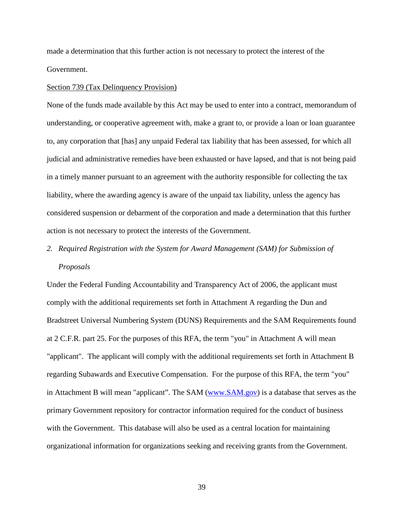made a determination that this further action is not necessary to protect the interest of the Government.

#### Section 739 (Tax Delinquency Provision)

None of the funds made available by this Act may be used to enter into a contract, memorandum of understanding, or cooperative agreement with, make a grant to, or provide a loan or loan guarantee to, any corporation that [has] any unpaid Federal tax liability that has been assessed, for which all judicial and administrative remedies have been exhausted or have lapsed, and that is not being paid in a timely manner pursuant to an agreement with the authority responsible for collecting the tax liability, where the awarding agency is aware of the unpaid tax liability, unless the agency has considered suspension or debarment of the corporation and made a determination that this further action is not necessary to protect the interests of the Government.

# *2. Required Registration with the System for Award Management (SAM) for Submission of Proposals*

Under the Federal Funding Accountability and Transparency Act of 2006, the applicant must comply with the additional requirements set forth in Attachment A regarding the Dun and Bradstreet Universal Numbering System (DUNS) Requirements and the SAM Requirements found at 2 C.F.R. part 25. For the purposes of this RFA, the term "you" in Attachment A will mean "applicant". The applicant will comply with the additional requirements set forth in Attachment B regarding Subawards and Executive Compensation. For the purpose of this RFA, the term "you" in Attachment B will mean "applicant". The SAM [\(www.SAM.gov\)](http://www.sam.gov/) is a database that serves as the primary Government repository for contractor information required for the conduct of business with the Government. This database will also be used as a central location for maintaining organizational information for organizations seeking and receiving grants from the Government.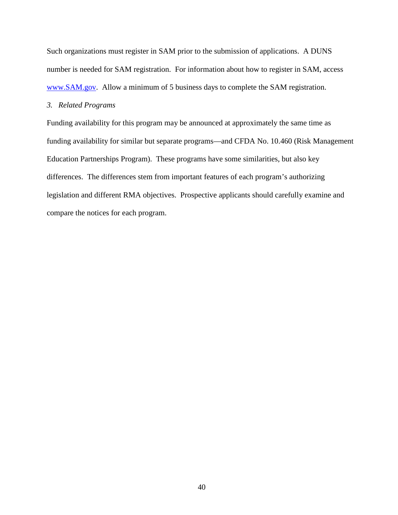Such organizations must register in SAM prior to the submission of applications. A DUNS number is needed for SAM registration. For information about how to register in SAM, access [www.SAM.gov.](http://www.sam.gov/)Allow a minimum of 5 business days to complete the SAM registration.

# *3. Related Programs*

Funding availability for this program may be announced at approximately the same time as funding availability for similar but separate programs—and CFDA No. 10.460 (Risk Management Education Partnerships Program). These programs have some similarities, but also key differences. The differences stem from important features of each program's authorizing legislation and different RMA objectives. Prospective applicants should carefully examine and compare the notices for each program.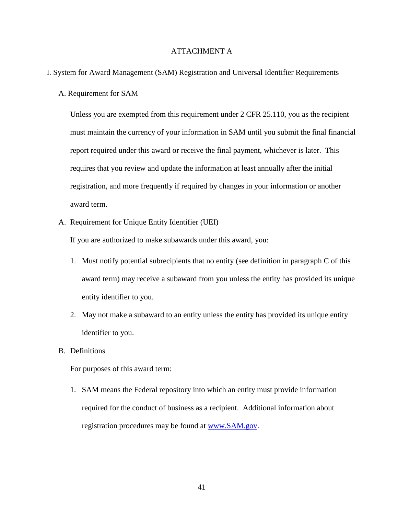# ATTACHMENT A

### I. System for Award Management (SAM) Registration and Universal Identifier Requirements

A. Requirement for SAM

Unless you are exempted from this requirement under 2 CFR 25.110, you as the recipient must maintain the currency of your information in SAM until you submit the final financial report required under this award or receive the final payment, whichever is later. This requires that you review and update the information at least annually after the initial registration, and more frequently if required by changes in your information or another award term.

A. Requirement for Unique Entity Identifier (UEI)

If you are authorized to make subawards under this award, you:

- 1. Must notify potential subrecipients that no entity (see definition in paragraph C of this award term) may receive a subaward from you unless the entity has provided its unique entity identifier to you.
- 2. May not make a subaward to an entity unless the entity has provided its unique entity identifier to you.
- B. Definitions

For purposes of this award term:

1. SAM means the Federal repository into which an entity must provide information required for the conduct of business as a recipient. Additional information about registration procedures may be found at [www.SAM.gov.](http://www.sam.gov/)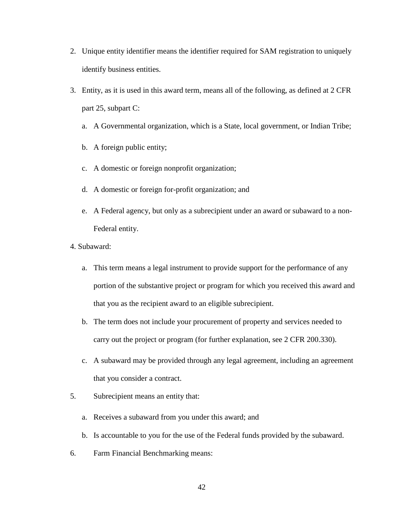- 2. Unique entity identifier means the identifier required for SAM registration to uniquely identify business entities.
- 3. Entity, as it is used in this award term, means all of the following, as defined at 2 CFR part 25, subpart C:
	- a. A Governmental organization, which is a State, local government, or Indian Tribe;
	- b. A foreign public entity;
	- c. A domestic or foreign nonprofit organization;
	- d. A domestic or foreign for-profit organization; and
	- e. A Federal agency, but only as a subrecipient under an award or subaward to a non-Federal entity.
- 4. Subaward:
	- a. This term means a legal instrument to provide support for the performance of any portion of the substantive project or program for which you received this award and that you as the recipient award to an eligible subrecipient.
	- b. The term does not include your procurement of property and services needed to carry out the project or program (for further explanation, see 2 CFR 200.330).
	- c. A subaward may be provided through any legal agreement, including an agreement that you consider a contract.
- 5. Subrecipient means an entity that:
	- a. Receives a subaward from you under this award; and
	- b. Is accountable to you for the use of the Federal funds provided by the subaward.
- 6. Farm Financial Benchmarking means: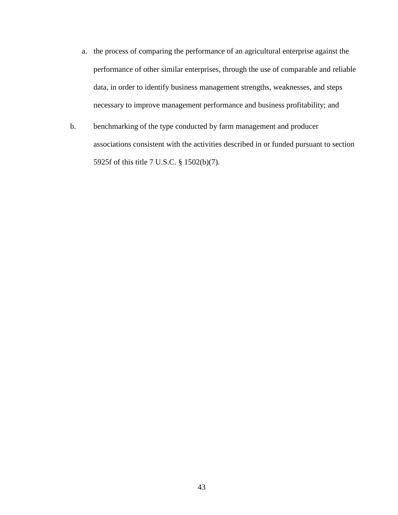- a. the process of comparing the performance of an agricultural enterprise against the performance of other similar enterprises, through the use of comparable and reliable data, in order to identify business management strengths, weaknesses, and steps necessary to improve management performance and business profitability; and
- b. benchmarking of the type conducted by farm management and producer associations consistent with the activities described in or funded pursuant to section 5925f of this title 7 U.S.C. § 1502(b)(7).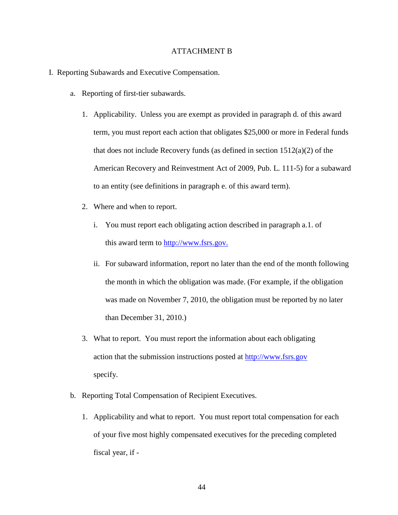#### ATTACHMENT B

- I. Reporting Subawards and Executive Compensation.
	- a. Reporting of first-tier subawards.
		- 1. Applicability. Unless you are exempt as provided in paragraph d. of this award term, you must report each action that obligates \$25,000 or more in Federal funds that does not include Recovery funds (as defined in section 1512(a)(2) of the American Recovery and Reinvestment Act of 2009, Pub. L. 111-5) for a subaward to an entity (see definitions in paragraph e. of this award term).
		- 2. Where and when to report.
			- i. You must report each obligating action described in paragraph a.1. of this award term to [http://www.fsrs.gov.](http://www.fsrs.gov/)
			- ii. For subaward information, report no later than the end of the month following the month in which the obligation was made. (For example, if the obligation was made on November 7, 2010, the obligation must be reported by no later than December 31, 2010.)
		- 3. What to report. You must report the information about each obligating action that the submission instructions posted at [http://www.fsrs.gov](http://www.fsrs.gov/) specify.
	- b. Reporting Total Compensation of Recipient Executives.
		- 1. Applicability and what to report. You must report total compensation for each of your five most highly compensated executives for the preceding completed fiscal year, if -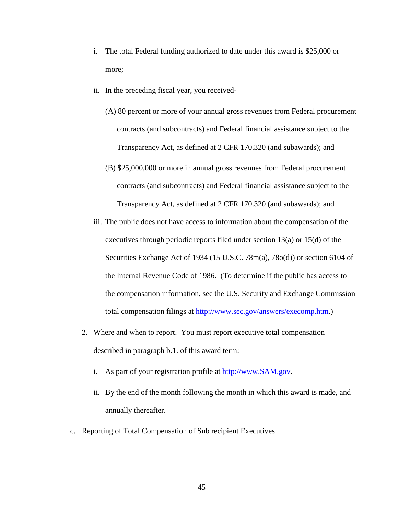- i. The total Federal funding authorized to date under this award is \$25,000 or more;
- ii. In the preceding fiscal year, you received-
	- (A) 80 percent or more of your annual gross revenues from Federal procurement contracts (and subcontracts) and Federal financial assistance subject to the Transparency Act, as defined at 2 CFR 170.320 (and subawards); and
	- (B) \$25,000,000 or more in annual gross revenues from Federal procurement contracts (and subcontracts) and Federal financial assistance subject to the Transparency Act, as defined at 2 CFR 170.320 (and subawards); and
- iii. The public does not have access to information about the compensation of the executives through periodic reports filed under section 13(a) or 15(d) of the Securities Exchange Act of 1934 (15 U.S.C. 78m(a), 78o(d)) or section 6104 of the Internal Revenue Code of 1986. (To determine if the public has access to the compensation information, see the U.S. Security and Exchange Commission total compensation filings at [http://www.sec.gov/answers/execomp.htm.](http://www.sec.gov/answers/execomp.htm))
- 2. Where and when to report. You must report executive total compensation described in paragraph b.1. of this award term:
	- i. As part of your registration profile at [http://www.SAM.gov.](http://www.sam.gov/)
	- ii. By the end of the month following the month in which this award is made, and annually thereafter.
- c. Reporting of Total Compensation of Sub recipient Executives.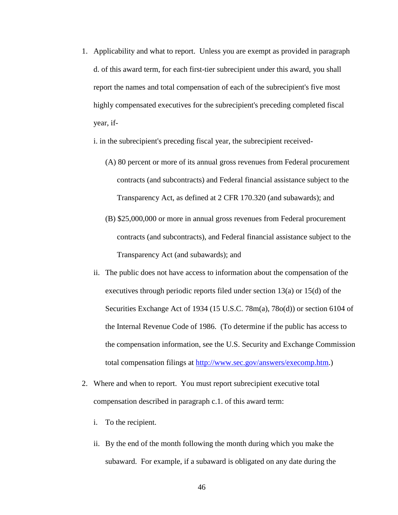1. Applicability and what to report. Unless you are exempt as provided in paragraph d. of this award term, for each first-tier subrecipient under this award, you shall report the names and total compensation of each of the subrecipient's five most highly compensated executives for the subrecipient's preceding completed fiscal year, if-

i. in the subrecipient's preceding fiscal year, the subrecipient received-

- (A) 80 percent or more of its annual gross revenues from Federal procurement contracts (and subcontracts) and Federal financial assistance subject to the Transparency Act, as defined at 2 CFR 170.320 (and subawards); and
- (B) \$25,000,000 or more in annual gross revenues from Federal procurement contracts (and subcontracts), and Federal financial assistance subject to the Transparency Act (and subawards); and
- ii. The public does not have access to information about the compensation of the executives through periodic reports filed under section 13(a) or 15(d) of the Securities Exchange Act of 1934 (15 U.S.C. 78m(a), 78o(d)) or section 6104 of the Internal Revenue Code of 1986. (To determine if the public has access to the compensation information, see the U.S. Security and Exchange Commission total compensation filings at [http://www.sec.gov/answers/execomp.htm.](http://www.sec.gov/answers/execomp.htm))
- 2. Where and when to report. You must report subrecipient executive total compensation described in paragraph c.1. of this award term:
	- i. To the recipient.
	- ii. By the end of the month following the month during which you make the subaward. For example, if a subaward is obligated on any date during the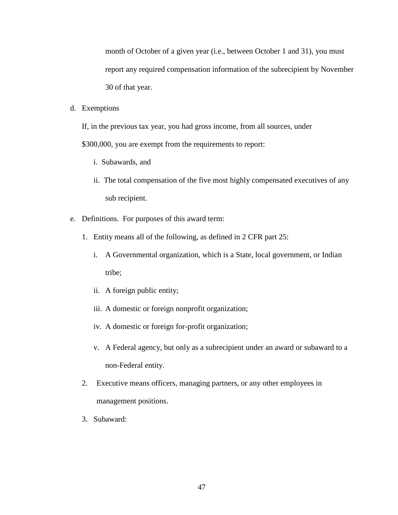month of October of a given year (i.e., between October 1 and 31), you must report any required compensation information of the subrecipient by November 30 of that year.

d. Exemptions

If, in the previous tax year, you had gross income, from all sources, under

\$300,000, you are exempt from the requirements to report:

- i. Subawards, and
- ii. The total compensation of the five most highly compensated executives of any sub recipient.
- e. Definitions. For purposes of this award term:
	- 1. Entity means all of the following, as defined in 2 CFR part 25:
		- i. A Governmental organization, which is a State, local government, or Indian tribe;
		- ii. A foreign public entity;
		- iii. A domestic or foreign nonprofit organization;
		- iv. A domestic or foreign for-profit organization;
		- v. A Federal agency, but only as a subrecipient under an award or subaward to a non-Federal entity.
	- 2. Executive means officers, managing partners, or any other employees in management positions.
	- 3. Subaward: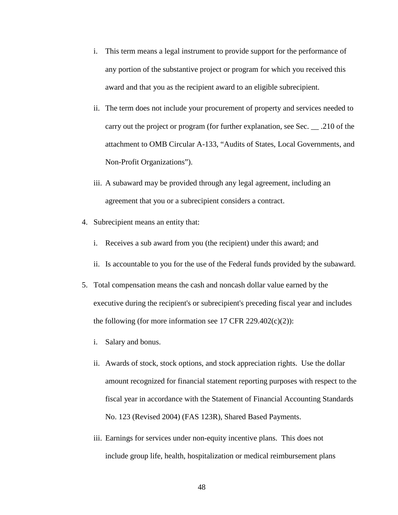- i. This term means a legal instrument to provide support for the performance of any portion of the substantive project or program for which you received this award and that you as the recipient award to an eligible subrecipient.
- ii. The term does not include your procurement of property and services needed to carry out the project or program (for further explanation, see Sec. \_\_ .210 of the attachment to OMB Circular A-133, "Audits of States, Local Governments, and Non-Profit Organizations").
- iii. A subaward may be provided through any legal agreement, including an agreement that you or a subrecipient considers a contract.
- 4. Subrecipient means an entity that:
	- i. Receives a sub award from you (the recipient) under this award; and
	- ii. Is accountable to you for the use of the Federal funds provided by the subaward.
- 5. Total compensation means the cash and noncash dollar value earned by the executive during the recipient's or subrecipient's preceding fiscal year and includes the following (for more information see 17 CFR 229.402 $(c)(2)$ ):
	- i. Salary and bonus.
	- ii. Awards of stock, stock options, and stock appreciation rights. Use the dollar amount recognized for financial statement reporting purposes with respect to the fiscal year in accordance with the Statement of Financial Accounting Standards No. 123 (Revised 2004) (FAS 123R), Shared Based Payments.
	- iii. Earnings for services under non-equity incentive plans. This does not include group life, health, hospitalization or medical reimbursement plans